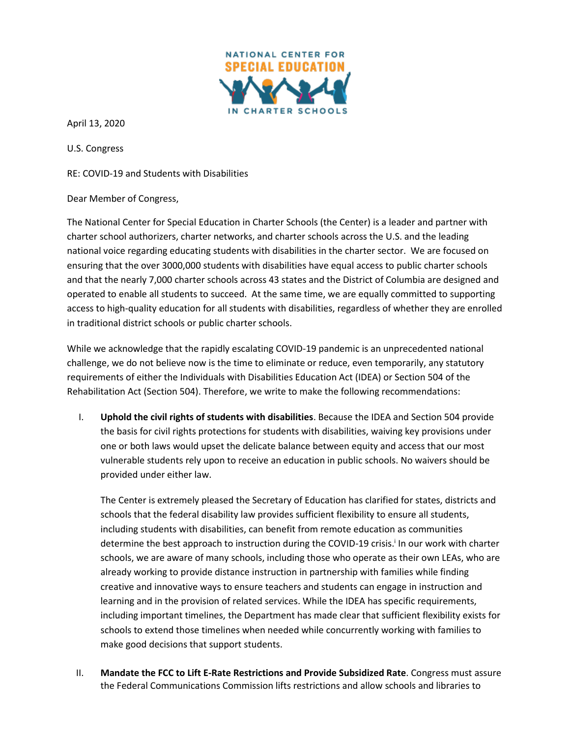

April 13, 2020

U.S. Congress

RE: COVID-19 and Students with Disabilities

Dear Member of Congress,

The National Center for Special Education in Charter Schools (the Center) is a leader and partner with charter school authorizers, charter networks, and charter schools across the U.S. and the leading national voice regarding educating students with disabilities in the charter sector. We are focused on ensuring that the over 3000,000 students with disabilities have equal access to public charter schools and that the nearly 7,000 charter schools across 43 states and the District of Columbia are designed and operated to enable all students to succeed. At the same time, we are equally committed to supporting access to high-quality education for all students with disabilities, regardless of whether they are enrolled in traditional district schools or public charter schools.

While we acknowledge that the rapidly escalating COVID-19 pandemic is an unprecedented national challenge, we do not believe now is the time to eliminate or reduce, even temporarily, any statutory requirements of either the Individuals with Disabilities Education Act (IDEA) or Section 504 of the Rehabilitation Act (Section 504). Therefore, we write to make the following recommendations:

I. **Uphold the civil rights of students with disabilities**. Because the IDEA and Section 504 provide the basis for civil rights protections for students with disabilities, waiving key provisions under one or both laws would upset the delicate balance between equity and access that our most vulnerable students rely upon to receive an education in public schools. No waivers should be provided under either law.

The Center is extremely pleased the Secretary of Education has clarified for states, districts and schools that the federal disability law provides sufficient flexibility to ensure all students, including students with disabilities, can benefit from remote education as communities determine the best approach to instruction during the COVID-19 crisis.<sup>i</sup> In our work with charter schools, we are aware of many schools, including those who operate as their own LEAs, who are already working to provide distance instruction in partnership with families while finding creative and innovative ways to ensure teachers and students can engage in instruction and learning and in the provision of related services. While the IDEA has specific requirements, including important timelines, the Department has made clear that sufficient flexibility exists for schools to extend those timelines when needed while concurrently working with families to make good decisions that support students.

II. **Mandate the FCC to Lift E-Rate Restrictions and Provide Subsidized Rate**. Congress must assure the Federal Communications Commission lifts restrictions and allow schools and libraries to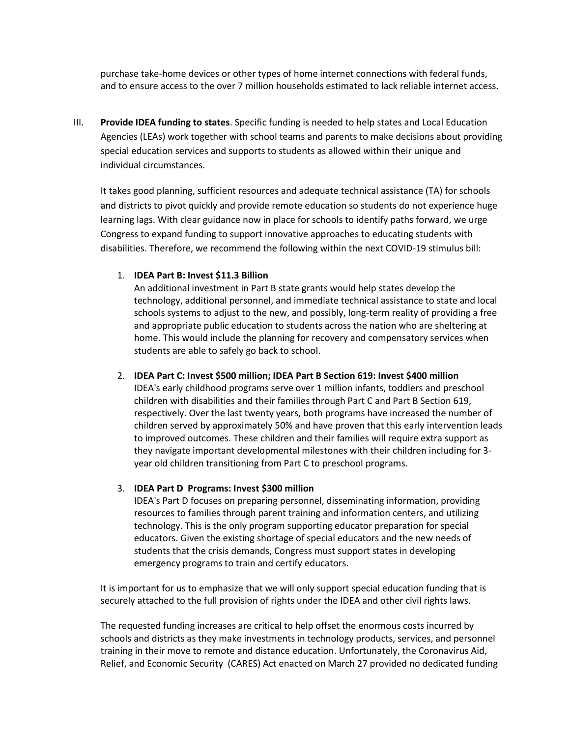purchase take-home devices or other types of home internet connections with federal funds, and to ensure access to the over 7 million households estimated to lack reliable internet access.

III. **Provide IDEA funding to states**. Specific funding is needed to help states and Local Education Agencies (LEAs) work together with school teams and parents to make decisions about providing special education services and supports to students as allowed within their unique and individual circumstances.

It takes good planning, sufficient resources and adequate technical assistance (TA) for schools and districts to pivot quickly and provide remote education so students do not experience huge learning lags. With clear guidance now in place for schools to identify paths forward, we urge Congress to expand funding to support innovative approaches to educating students with disabilities. Therefore, we recommend the following within the next COVID-19 stimulus bill:

## 1. **IDEA Part B: Invest \$11.3 Billion**

An additional investment in Part B state grants would help states develop the technology, additional personnel, and immediate technical assistance to state and local schools systems to adjust to the new, and possibly, long-term reality of providing a free and appropriate public education to students across the nation who are sheltering at home. This would include the planning for recovery and compensatory services when students are able to safely go back to school.

## 2. **IDEA Part C: Invest \$500 million; IDEA Part B Section 619: Invest \$400 million**

IDEA's early childhood programs serve over 1 million infants, toddlers and preschool children with disabilities and their families through Part C and Part B Section 619, respectively. Over the last twenty years, both programs have increased the number of children served by approximately 50% and have proven that this early intervention leads to improved outcomes. These children and their families will require extra support as they navigate important developmental milestones with their children including for 3 year old children transitioning from Part C to preschool programs.

## 3. **IDEA Part D Programs: Invest \$300 million**

IDEA's Part D focuses on preparing personnel, disseminating information, providing resources to families through parent training and information centers, and utilizing technology. This is the only program supporting educator preparation for special educators. Given the existing shortage of special educators and the new needs of students that the crisis demands, Congress must support states in developing emergency programs to train and certify educators.

It is important for us to emphasize that we will only support special education funding that is securely attached to the full provision of rights under the IDEA and other civil rights laws.

The requested funding increases are critical to help offset the enormous costs incurred by schools and districts as they make investments in technology products, services, and personnel training in their move to remote and distance education. Unfortunately, the Coronavirus Aid, Relief, and Economic Security (CARES) Act enacted on March 27 provided no dedicated funding